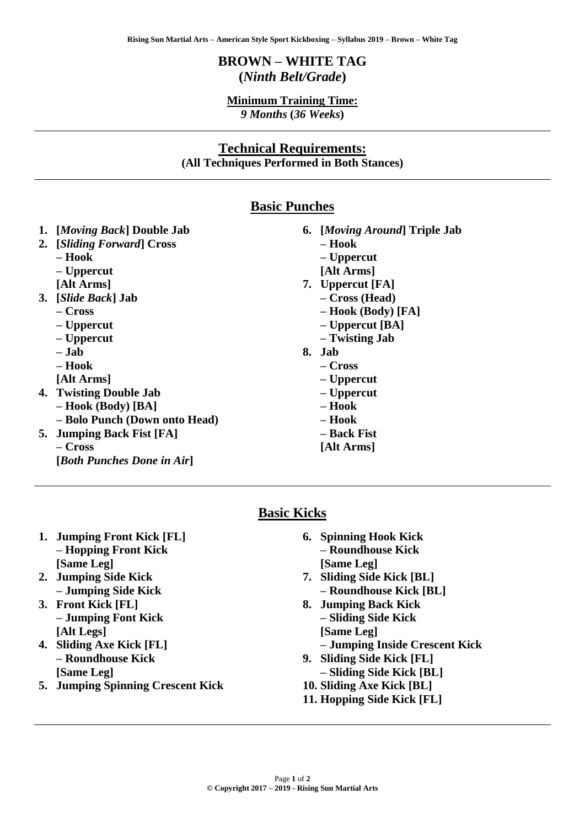# **BROWN – WHITE TAG (***Ninth Belt/Grade***)**

#### **Minimum Training Time:** *9 Months* **(***36 Weeks***)**

## **Technical Requirements: (All Techniques Performed in Both Stances)**

### **Basic Punches**

- **1. [***Moving Back***] Double Jab**
- **2. [***Sliding Forward***] Cross – Hook – Uppercut [Alt Arms] 3. [***Slide Back***] Jab – Cross – Uppercut – Uppercut** 
	- **– Jab**
	- **– Hook**
	- **[Alt Arms]**
- **4. Twisting Double Jab – Hook (Body) [BA] – Bolo Punch (Down onto Head)**
- **5. Jumping Back Fist [FA] – Cross [***Both Punches Done in Air***]**
- **6. [***Moving Around***] Triple Jab** 
	- **– Hook**
	- **– Uppercut**
	- **[Alt Arms]**
- **7. Uppercut [FA]** 
	- **– Cross (Head)** 
		- **– Hook (Body) [FA]**
		- **– Uppercut [BA]**
		- **– Twisting Jab**
- **8. Jab** 
	- **– Cross**
	- **– Uppercut**
	- **– Uppercut**
	- **– Hook**
	- **– Hook**
	- **– Back Fist**
	- **[Alt Arms]**

## **Basic Kicks**

- **1. Jumping Front Kick [FL] – Hopping Front Kick [Same Leg]**
- **2. Jumping Side Kick – Jumping Side Kick**
- **3. Front Kick [FL] – Jumping Font Kick [Alt Legs]**
- **4. Sliding Axe Kick [FL] – Roundhouse Kick [Same Leg]**
- **5. Jumping Spinning Crescent Kick**
- **6. Spinning Hook Kick – Roundhouse Kick [Same Leg]**
- **7. Sliding Side Kick [BL] – Roundhouse Kick [BL]**
- **8. Jumping Back Kick – Sliding Side Kick [Same Leg]** 
	- **– Jumping Inside Crescent Kick**
- **9. Sliding Side Kick [FL] – Sliding Side Kick [BL]**
- **10. Sliding Axe Kick [BL]**
- **11. Hopping Side Kick [FL]**